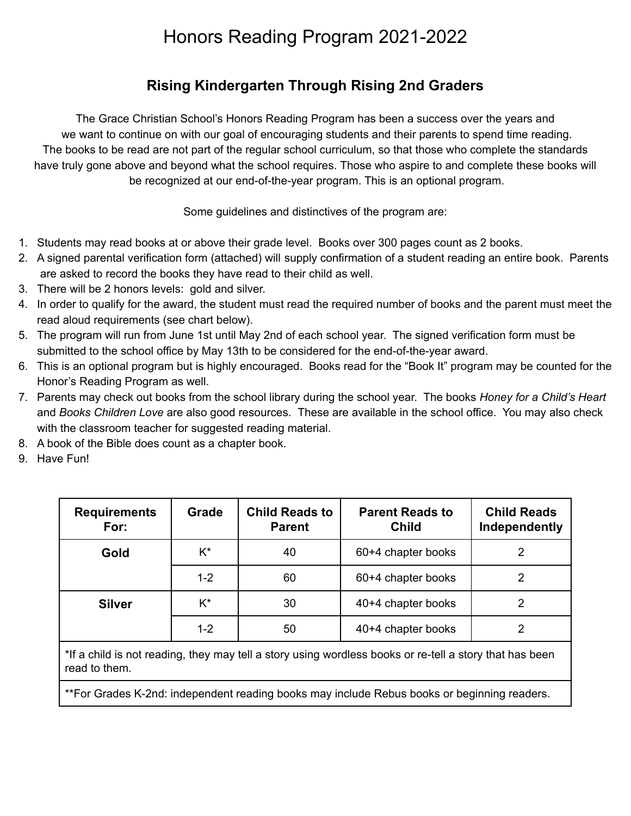# Honors Reading Program 2021-2022

### **Rising Kindergarten Through Rising 2nd Graders**

The Grace Christian School's Honors Reading Program has been a success over the years and we want to continue on with our goal of encouraging students and their parents to spend time reading. The books to be read are not part of the regular school curriculum, so that those who complete the standards have truly gone above and beyond what the school requires. Those who aspire to and complete these books will be recognized at our end-of-the-year program. This is an optional program.

Some guidelines and distinctives of the program are:

- 1. Students may read books at or above their grade level. Books over 300 pages count as 2 books.
- 2. A signed parental verification form (attached) will supply confirmation of a student reading an entire book. Parents are asked to record the books they have read to their child as well.
- 3. There will be 2 honors levels: gold and silver.
- 4. In order to qualify for the award, the student must read the required number of books and the parent must meet the read aloud requirements (see chart below).
- 5. The program will run from June 1st until May 2nd of each school year. The signed verification form must be submitted to the school office by May 13th to be considered for the end-of-the-year award.
- 6. This is an optional program but is highly encouraged. Books read for the "Book It" program may be counted for the Honor's Reading Program as well.
- 7. Parents may check out books from the school library during the school year. The books *Honey for a Child's Heart* and *Books Children Love* are also good resources. These are available in the school office. You may also check with the classroom teacher for suggested reading material.
- 8. A book of the Bible does count as a chapter book.
- 9. Have Fun!

| <b>Requirements</b><br>For: | Grade   | <b>Child Reads to</b><br><b>Parent</b> | <b>Parent Reads to</b><br><b>Child</b> | <b>Child Reads</b><br>Independently |
|-----------------------------|---------|----------------------------------------|----------------------------------------|-------------------------------------|
| Gold                        | K*      | 40                                     | 60+4 chapter books                     | 2                                   |
|                             | $1 - 2$ | 60                                     | 60+4 chapter books                     | 2                                   |
| <b>Silver</b>               | K*      | 30                                     | 40+4 chapter books                     | 2                                   |
|                             | $1 - 2$ | 50                                     | 40+4 chapter books                     | 2                                   |

\*If a child is not reading, they may tell a story using wordless books or re-tell a story that has been read to them.

\*\*For Grades K-2nd: independent reading books may include Rebus books or beginning readers.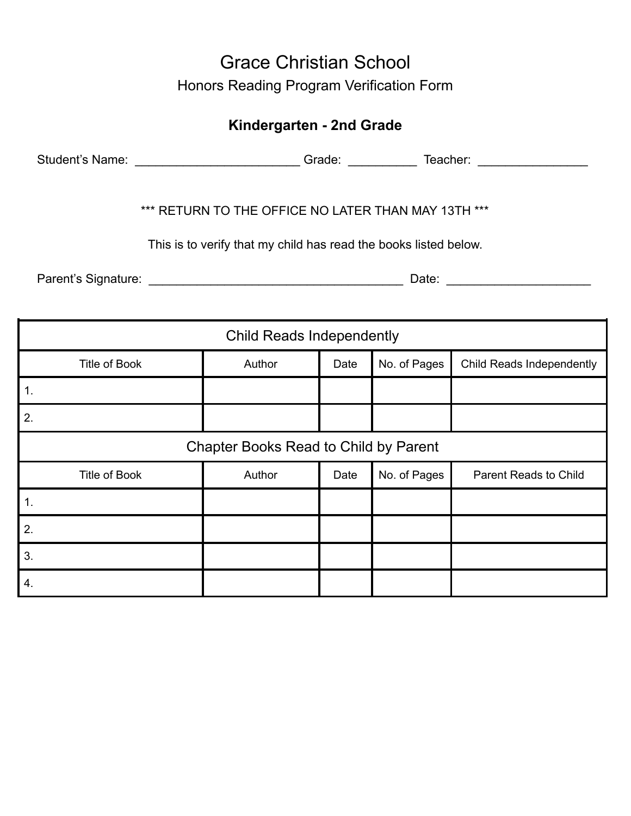## Grace Christian School Honors Reading Program Verification Form

### **Kindergarten - 2nd Grade**

Student's Name: \_\_\_\_\_\_\_\_\_\_\_\_\_\_\_\_\_\_\_\_\_\_\_\_\_\_\_\_\_Grade: \_\_\_\_\_\_\_\_\_\_\_\_\_\_\_\_\_\_\_\_\_\_\_\_\_\_\_\_\_

#### \*\*\* RETURN TO THE OFFICE NO LATER THAN MAY 13TH \*\*\*

This is to verify that my child has read the books listed below.

Parent's Signature: \_\_\_\_\_\_\_\_\_\_\_\_\_\_\_\_\_\_\_\_\_\_\_\_\_\_\_\_\_\_\_\_\_\_\_\_\_ Date: \_\_\_\_\_\_\_\_\_\_\_\_\_\_\_\_\_\_\_\_\_

| <b>Child Reads Independently</b>             |        |      |              |                           |  |  |
|----------------------------------------------|--------|------|--------------|---------------------------|--|--|
| <b>Title of Book</b>                         | Author | Date | No. of Pages | Child Reads Independently |  |  |
| 1.                                           |        |      |              |                           |  |  |
| 2.                                           |        |      |              |                           |  |  |
| <b>Chapter Books Read to Child by Parent</b> |        |      |              |                           |  |  |
| <b>Title of Book</b>                         | Author | Date | No. of Pages | Parent Reads to Child     |  |  |
| 1.                                           |        |      |              |                           |  |  |
| 2.                                           |        |      |              |                           |  |  |
| 3.                                           |        |      |              |                           |  |  |
| 4.                                           |        |      |              |                           |  |  |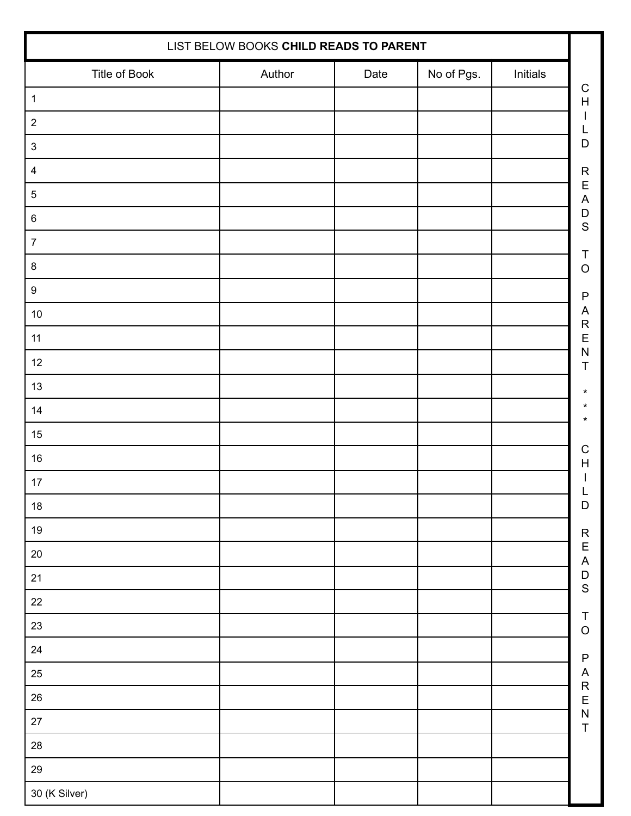| LIST BELOW BOOKS CHILD READS TO PARENT |        |      |            |          |                                          |
|----------------------------------------|--------|------|------------|----------|------------------------------------------|
| Title of Book                          | Author | Date | No of Pgs. | Initials |                                          |
| $\mathbf 1$                            |        |      |            |          | $\mathsf C$<br>$\mathsf{H}%$             |
| $\sqrt{2}$                             |        |      |            |          | $\mathsf{I}$<br>L                        |
| $\ensuremath{\mathsf{3}}$              |        |      |            |          | D                                        |
| $\overline{4}$                         |        |      |            |          |                                          |
| $\sqrt{5}$                             |        |      |            |          | R<br>E<br>A<br>D                         |
| $\,6\,$                                |        |      |            |          | $\mathsf{S}$                             |
| $\boldsymbol{7}$                       |        |      |            |          |                                          |
| $\bf 8$                                |        |      |            |          | T<br>$\circ$                             |
| $\boldsymbol{9}$                       |        |      |            |          | $\mathsf{P}$                             |
| $10$                                   |        |      |            |          | $\boldsymbol{\mathsf{A}}$                |
| 11                                     |        |      |            |          | R<br>E<br>$\overline{\mathsf{N}}$        |
| $12$                                   |        |      |            |          | T                                        |
| $13$                                   |        |      |            |          | $^\star$                                 |
| 14                                     |        |      |            |          | *<br>*                                   |
| 15                                     |        |      |            |          |                                          |
| $16\,$                                 |        |      |            |          | $\mathsf C$<br>$\boldsymbol{\mathsf{H}}$ |
| $17$                                   |        |      |            |          | -                                        |
| $18\,$                                 |        |      |            |          | $\mathsf D$                              |
| $19$                                   |        |      |            |          |                                          |
| $20\,$                                 |        |      |            |          | R<br>E<br>A<br>D<br>S                    |
| $21$                                   |        |      |            |          |                                          |
| $22\,$                                 |        |      |            |          |                                          |
| $23\,$                                 |        |      |            |          | $\begin{array}{c}\nT \\ O\n\end{array}$  |
| $24\,$                                 |        |      |            |          | $\mathsf{P}$                             |
| $25\,$                                 |        |      |            |          |                                          |
| ${\bf 26}$                             |        |      |            |          | ARENT                                    |
| $27\,$                                 |        |      |            |          |                                          |
| ${\bf 28}$                             |        |      |            |          |                                          |
| $29\,$                                 |        |      |            |          |                                          |
| 30 (K Silver)                          |        |      |            |          |                                          |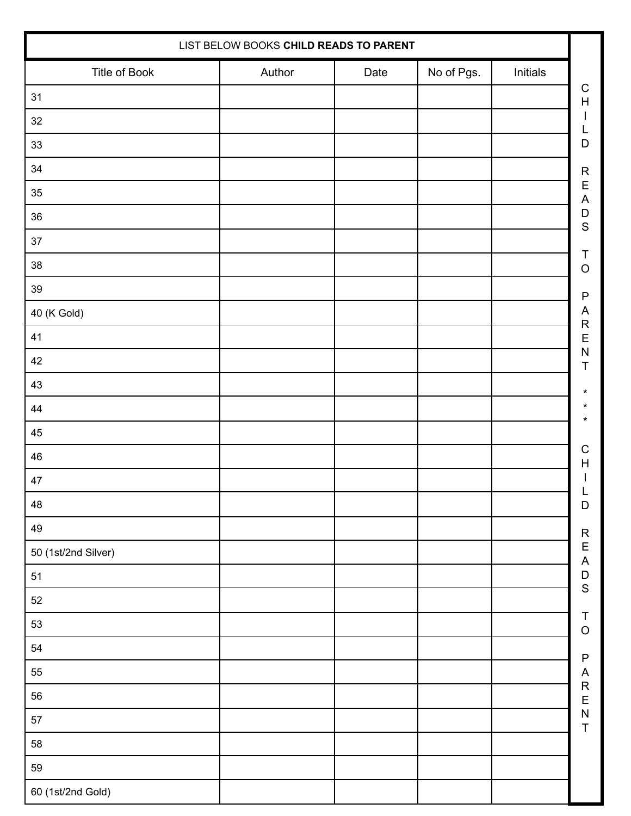| LIST BELOW BOOKS CHILD READS TO PARENT |        |      |            |          |
|----------------------------------------|--------|------|------------|----------|
| Title of Book                          | Author | Date | No of Pgs. | Initials |
| $31$                                   |        |      |            |          |
| 32                                     |        |      |            |          |
| $33\,$                                 |        |      |            |          |
| 34                                     |        |      |            |          |
| $35\,$                                 |        |      |            |          |
| 36                                     |        |      |            |          |
| $37\,$                                 |        |      |            |          |
| 38                                     |        |      |            |          |
| $39\,$                                 |        |      |            |          |
| 40 (K Gold)                            |        |      |            |          |
| 41                                     |        |      |            |          |
| 42                                     |        |      |            |          |
| 43                                     |        |      |            |          |
| 44                                     |        |      |            |          |
| $\bf 45$                               |        |      |            |          |
| 46                                     |        |      |            |          |
| $47\,$                                 |        |      |            |          |
| 48                                     |        |      |            |          |
| 49                                     |        |      |            |          |
| 50 (1st/2nd Silver)                    |        |      |            |          |
| $51$                                   |        |      |            |          |
| 52                                     |        |      |            |          |
| 53                                     |        |      |            |          |
| 54                                     |        |      |            |          |
| 55                                     |        |      |            |          |
| 56                                     |        |      |            |          |
| 57                                     |        |      |            |          |
| 58                                     |        |      |            |          |
| 59                                     |        |      |            |          |
| 60 (1st/2nd Gold)                      |        |      |            |          |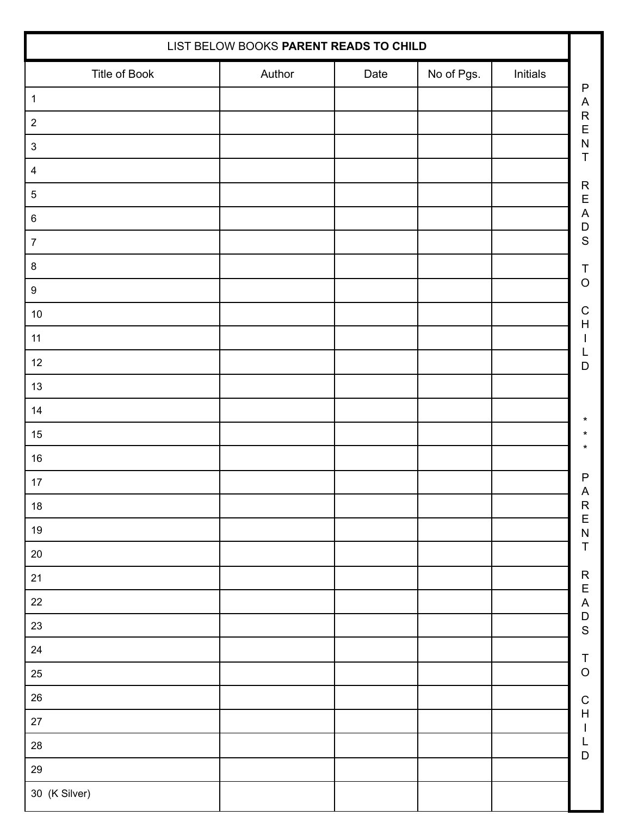| LIST BELOW BOOKS PARENT READS TO CHILD |        |      |            |          |                                                         |
|----------------------------------------|--------|------|------------|----------|---------------------------------------------------------|
| Title of Book                          | Author | Date | No of Pgs. | Initials |                                                         |
| $\mathbf{1}$                           |        |      |            |          | $\mathsf{P}$<br>$\boldsymbol{\mathsf{A}}$               |
| $\sqrt{2}$                             |        |      |            |          | R<br>E<br>N                                             |
| $\ensuremath{\mathsf{3}}$              |        |      |            |          | $\mathsf T$                                             |
| $\overline{4}$                         |        |      |            |          |                                                         |
| $\mathbf 5$                            |        |      |            |          | READS                                                   |
| $\,6$                                  |        |      |            |          |                                                         |
| $\boldsymbol{7}$                       |        |      |            |          |                                                         |
| $\bf 8$                                |        |      |            |          | $\sf T$                                                 |
| $\boldsymbol{9}$                       |        |      |            |          | $\circ$                                                 |
| $10\,$                                 |        |      |            |          | $\mathsf C$<br>$\boldsymbol{\mathsf{H}}$                |
| 11                                     |        |      |            |          | I                                                       |
| $12$                                   |        |      |            |          | L<br>$\mathsf D$                                        |
| $13$                                   |        |      |            |          |                                                         |
| 14                                     |        |      |            |          | *                                                       |
| $15\,$                                 |        |      |            |          | *                                                       |
| $16\,$                                 |        |      |            |          |                                                         |
| $17$                                   |        |      |            |          | $\mathsf{P}$                                            |
| $18\,$                                 |        |      |            |          | A<br>R<br>E<br>N<br>T                                   |
| $19$                                   |        |      |            |          |                                                         |
| $20\,$                                 |        |      |            |          |                                                         |
| 21                                     |        |      |            |          |                                                         |
| $22\,$                                 |        |      |            |          | R<br>E<br>A<br>D<br>S                                   |
| $23\,$                                 |        |      |            |          |                                                         |
| $24\,$                                 |        |      |            |          |                                                         |
| $25\,$                                 |        |      |            |          | $\begin{array}{c}\nT \\ O\n\end{array}$                 |
| 26                                     |        |      |            |          | $\frac{C}{H}$                                           |
| $27\,$                                 |        |      |            |          | $\mathsf{I}$                                            |
| ${\bf 28}$                             |        |      |            |          | $\begin{array}{c} \mathsf{L} \\ \mathsf{D} \end{array}$ |
| $29\,$                                 |        |      |            |          |                                                         |
| 30 (K Silver)                          |        |      |            |          |                                                         |